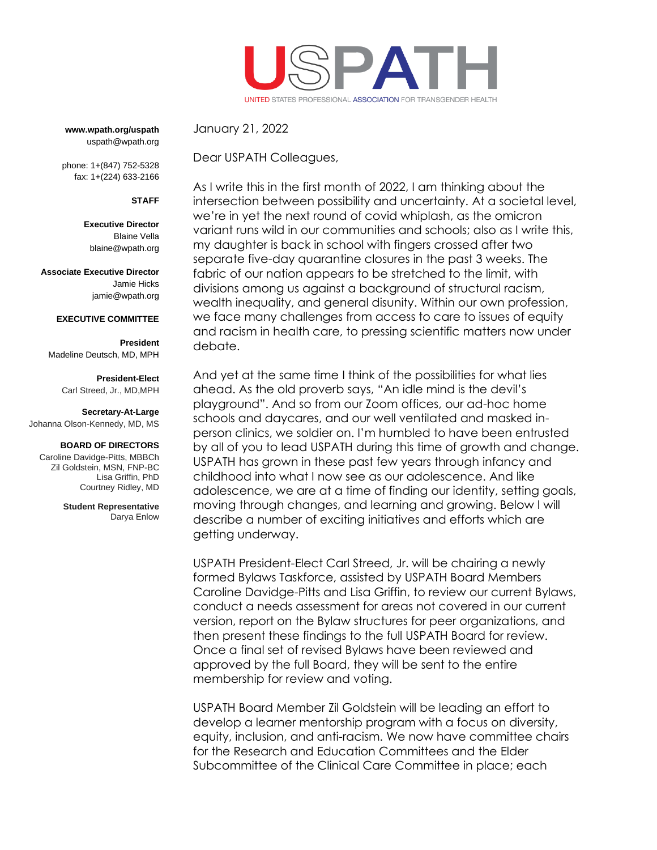

**www.wpath.org/uspath** uspath@wpath.org

phone: 1+(847) 752-5328 fax: 1+(224) 633-2166

## **STAFF**

**Executive Director** Blaine Vella [blaine@wpath.org](mailto:blaine@wpath.org)

**Associate Executive Director** Jamie Hicks jamie@wpath.org

### **EXECUTIVE COMMITTEE**

**President** Madeline Deutsch, MD, MPH

#### **President-Elect**

Carl Streed, Jr., MD,MPH

### **Secretary-At-Large**

Johanna Olson-Kennedy, MD, MS

### **BOARD OF DIRECTORS**

Caroline Davidge-Pitts, MBBCh Zil Goldstein, MSN, FNP-BC Lisa Griffin, PhD Courtney Ridley, MD

> **Student Representative** Darya Enlow

January 21, 2022

Dear USPATH Colleagues,

As I write this in the first month of 2022, I am thinking about the intersection between possibility and uncertainty. At a societal level, we're in yet the next round of covid whiplash, as the omicron variant runs wild in our communities and schools; also as I write this, my daughter is back in school with fingers crossed after two separate five-day quarantine closures in the past 3 weeks. The fabric of our nation appears to be stretched to the limit, with divisions among us against a background of structural racism, wealth inequality, and general disunity. Within our own profession, we face many challenges from access to care to issues of equity and racism in health care, to pressing scientific matters now under debate.

And yet at the same time I think of the possibilities for what lies ahead. As the old proverb says, "An idle mind is the devil's playground". And so from our Zoom offices, our ad-hoc home schools and daycares, and our well ventilated and masked inperson clinics, we soldier on. I'm humbled to have been entrusted by all of you to lead USPATH during this time of growth and change. USPATH has grown in these past few years through infancy and childhood into what I now see as our adolescence. And like adolescence, we are at a time of finding our identity, setting goals, moving through changes, and learning and growing. Below I will describe a number of exciting initiatives and efforts which are getting underway.

USPATH President-Elect Carl Streed, Jr. will be chairing a newly formed Bylaws Taskforce, assisted by USPATH Board Members Caroline Davidge-Pitts and Lisa Griffin, to review our current Bylaws, conduct a needs assessment for areas not covered in our current version, report on the Bylaw structures for peer organizations, and then present these findings to the full USPATH Board for review. Once a final set of revised Bylaws have been reviewed and approved by the full Board, they will be sent to the entire membership for review and voting.

USPATH Board Member Zil Goldstein will be leading an effort to develop a learner mentorship program with a focus on diversity, equity, inclusion, and anti-racism. We now have committee chairs for the Research and Education Committees and the Elder Subcommittee of the Clinical Care Committee in place; each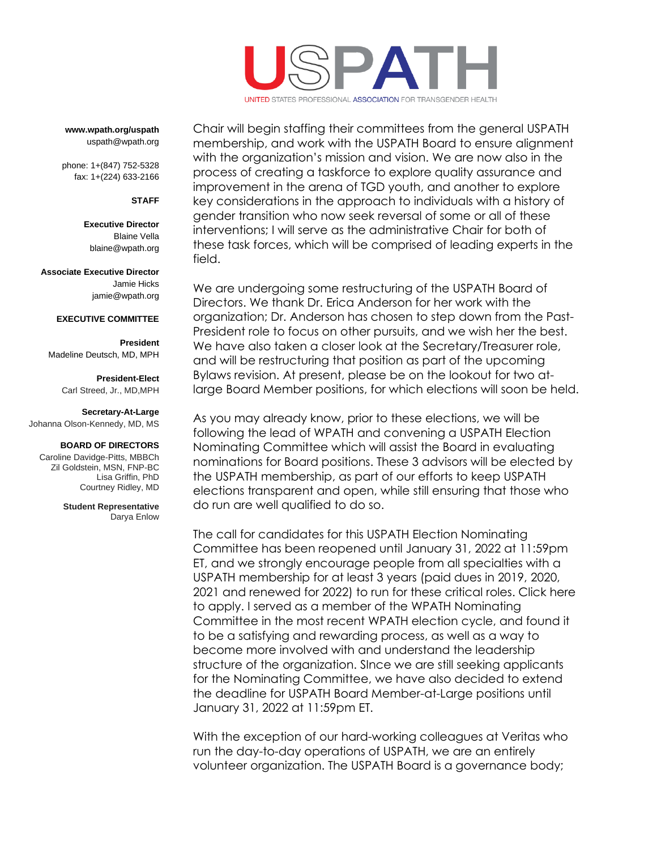

**www.wpath.org/uspath** uspath@wpath.org

phone: 1+(847) 752-5328 fax: 1+(224) 633-2166

**STAFF**

**Executive Director** Blaine Vella [blaine@wpath.org](mailto:blaine@wpath.org)

**Associate Executive Director** Jamie Hicks

jamie@wpath.org

# **EXECUTIVE COMMITTEE**

**President** Madeline Deutsch, MD, MPH

> **President-Elect** Carl Streed, Jr., MD,MPH

## **Secretary-At-Large**

Johanna Olson-Kennedy, MD, MS

### **BOARD OF DIRECTORS**

Caroline Davidge-Pitts, MBBCh Zil Goldstein, MSN, FNP-BC Lisa Griffin, PhD Courtney Ridley, MD

> **Student Representative** Darya Enlow

Chair will begin staffing their committees from the general USPATH membership, and work with the USPATH Board to ensure alignment with the organization's mission and vision. We are now also in the process of creating a taskforce to explore quality assurance and improvement in the arena of TGD youth, and another to explore key considerations in the approach to individuals with a history of gender transition who now seek reversal of some or all of these interventions; I will serve as the administrative Chair for both of these task forces, which will be comprised of leading experts in the field.

We are undergoing some restructuring of the USPATH Board of Directors. We thank Dr. Erica Anderson for her work with the organization; Dr. Anderson has chosen to step down from the Past-President role to focus on other pursuits, and we wish her the best. We have also taken a closer look at the Secretary/Treasurer role, and will be restructuring that position as part of the upcoming Bylaws revision. At present, please be on the lookout for two atlarge Board Member positions, for which elections will soon be held.

As you may already know, prior to these elections, we will be following the lead of WPATH and convening a USPATH Election Nominating Committee which will assist the Board in evaluating nominations for Board positions. These 3 advisors will be elected by the USPATH membership, as part of our efforts to keep USPATH elections transparent and open, while still ensuring that those who do run are well qualified to do so.

The call for candidates for this USPATH Election Nominating Committee has been reopened until January 31, 2022 at 11:59pm ET, and we strongly encourage people from all specialties with a USPATH membership for at least 3 years (paid dues in 2019, 2020, 2021 and renewed for 2022) to run for these critical roles. Click here to apply. I served as a member of the WPATH Nominating Committee in the most recent WPATH election cycle, and found it to be a satisfying and rewarding process, as well as a way to become more involved with and understand the leadership structure of the organization. SInce we are still seeking applicants for the Nominating Committee, we have also decided to extend the deadline for USPATH Board Member-at-Large positions until January 31, 2022 at 11:59pm ET.

With the exception of our hard-working colleagues at Veritas who run the day-to-day operations of USPATH, we are an entirely volunteer organization. The USPATH Board is a governance body;